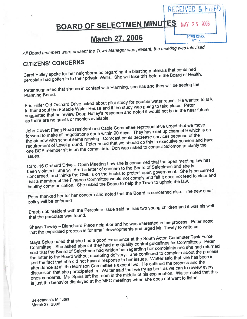### RECEIVED & HLED **BOARD OF SELECTMEN MINUTES** 2006 **MAY 25** March 27, 2006 **TOWN CLERK ACTON**

All Board members were presen<sup>t</sup> the Town Manager was present, the meeting was televised

# CITIZENS' CONCERNS

Carol Holley spoke for her neighborhood regarding the blasting materials that contained percolate had gotten in to their private Wells. She will take this before the Board of Health.

Peter suggested that she be in contact with Planning, she has and they will be seeing the Planning Board.

Eric Hilfer Old Orchard Drive asked about <sup>p</sup>ilot study for potable water reuse. He wanted to talk further about the Potable Water Reuse and if the study was going to take <sup>p</sup>lace. Peter suggested that he review Doug Halley's response and noted it would not be in the near future as there are no grants or monies available.

John Covert Flagg Road resident and Cable Committee representative urge<sup>d</sup> that we move John Covert Flagg Road resident and Cable Committed represent up channel 9 which is on<br>forward to make all negotiations done within 90 days. They have set up channel 9 which is on the air now with school items running. Comcast could decrease services because of the requirement of Level ground. Peter noted that we should do this in executive session and have one BOS member sit in on the committee. Don was asked to contact Solomon to clarify the issues.

Carol <sup>16</sup> Orchard Drive — Open Meeting Law she is concerned that the open meeting law has Carol 16 Orchard Drive – Open Meeting Law one to concern to the Board of Selectmen and she is<br>been violated. She will draft a letter of concern to the Board of Selectmen and she is concerned, and thinks the CML is on the books to protect open government. She is concerned concerned, and thinks the OML is on the books to protect open get it does not lead to clear and<br>that a member of the Finance Committee would not comply and felt it does not lead to clear and healthy communication. She asked the Board to help the Town to uphold the law.

Peter thanked her for her concern and noted that the Board is concerned also. The new email policy will be enforced

Braebrook resident with the Percolate issue said he has two young children and it was his well that the percolate was found.

Shawn Towey — Blanchard Place neighbor and he was interested in the process. Peter noted that the expedited process is for small developments and urge<sup>d</sup> Mr. Towey to write us.

Maya Spies noted that she had <sup>a</sup> goo<sup>d</sup> experience at the South Acton Commuter Task Force Committee. She asked about if they had any quality control guidelines for Committees. Peter said that the Board of Selectmen had written her regarding her complaints and she had returned the letter to the Board without accepting delivery. She continued to complain about the process the letter to the Board without accepting delivery. This common and that she has been in<br>and the fact that she did not have a response to her issues. Walter said that she has been in attendance at all the Morrison Committee's excep<sup>t</sup> two. He outlined the process and the discussion that she participated in. Walter said that we try as best as we can to review every ones concerns. Ms. Spies left the room in the middle of his explanation. Walter noted that this is just the behavior displayed at the MFC meetings when she does not want to listen.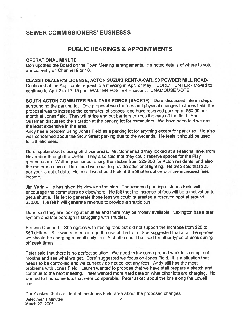## SEWER COMMISSIONERS' BUSNESSS

### PUBLIC HEARINGS & APPOINTMENTS

#### OPERATIONAL MINUTE

Don updated the Board on the Town Meeting arrangements. He noted details of where to vote are currently on Channel 9 or 10.

CLASS I DEALER'S LICENSE, ACTON SUZUKI RENT-A-CAR, 50 POWDER MILL ROAD-Continued at the Applicants reques<sup>t</sup> to <sup>a</sup> meeting in April or May. DORE' HUNTER - Moved to continue to April <sup>24</sup> at 7:15 p.m. WALTER FOSTER — second. UNAMOUSE VOTE

SOUTH ACTON COMMUTER RAIL TASK FORCE (SACRTF) - Dote' discussed interim steps surrounding the parking lot. One proposa<sup>l</sup> was for fees and <sup>p</sup>hysical changes to Jones field, the proposa<sup>l</sup> was to increase the commuter lot spaces, and have reserved parking at \$50.00 per month at Jones field. They will stripe and pu<sup>t</sup> barriers to keep the cars off the field. Ann Sussman discussed the situation at the parking lot for commuters. We have been told we are the least expensive in the area.

Andy has <sup>a</sup> problem using Jones Field as <sup>a</sup> parking lot for anything excep<sup>t</sup> for par<sup>k</sup> use. He also was concerned about the Stow Street parking due to the wetlands. He feels it should be used for athletic uses.

Dore' spoke about closing off those areas. Mr. Sonner said they looked at a seasonal level from November through the winter. They also said that they could reserve spaces for the Play ground users. Walter questioned raising the sticker from \$25-\$50 for Acton residents, and also the meter increases. Dore' said we need to provide additional lighting. He also said that \$25 per year is out of date. He noted we should look at the Shuttle option with the increased fees income.

Jim Yarin — He has given his views on the plan. The reserved parking at Jones Field will encourage the commuters go elsewhere. He felt that the increase of fees will be <sup>a</sup> motivation to ge<sup>t</sup> <sup>a</sup> shuttle. He felt to generate those fees we could guarantee <sup>a</sup> reserved spo<sup>t</sup> at around \$50.00. He felt it will generate revenue to provide <sup>a</sup> shuttle bus.

Dore' said they are looking at shuttles and there may be money available. Lexington has a star system and Marlborough is struggling with shuttles.

Frannie Osmond – She agrees with raising fees but did not support the increase from \$25 to \$50 dollars. She wants to encourage the use of the train. She suggested that at all the spaces we should be charging <sup>a</sup> small daily fee. <sup>A</sup> shuttle could be used for other types of uses during off peak times.

Peter said that there is no perfect solution. We need to lay some ground work for <sup>a</sup> couple of months and see what we get. Dore' suggested we focus on Jones Field. It is <sup>a</sup> situation that needs to be controlled and we currently do not collect any fees. Andy still has the most problems with Jones Field. Lauren wanted to propose that we have staff prepare <sup>a</sup> sketch and continue to the next meeting. Peter wanted more hard data on what other lots are charging. He wanted to find some lots that were comparable. Peter asked about the lots along the Lowell line.

Dore' asked that staff leaflet the Jones Field area about the proposed changes. Selectmen's Minutes 2 March 27, 2006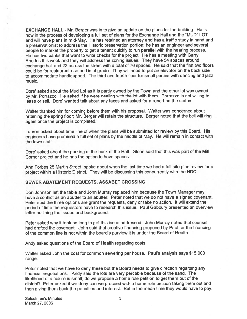EXCHANGE HALL - Mr. Berger was in to give an update on the plans for the building. He is now in the process of developing <sup>a</sup> full set of <sup>p</sup>lans for the Exchange Hall and the "MUD" LOT and will have <sup>p</sup>lans in mid-May. He has retained an attorney and has <sup>a</sup> traffic study in hand and <sup>a</sup> preservationist to address the Historic preservation portion; he has an engineer and several people to market the property to ge<sup>t</sup> <sup>a</sup> tenant quickly to run parallel with the hearing process. He has two banks that want to write checks for the project. He has <sup>a</sup> meeting with Garry Rhodes this week and they will address the zoning issues. They have 54 spaces around exchange hall and <sup>22</sup> across the street with <sup>a</sup> total of <sup>76</sup> spaces. He said that the first two floors could be for restaurant use and is at grade. They will need to pu<sup>t</sup> an elevator on the back side to accommodate handicapped. The third and fourth floor for small parties with dancing and jazz music.

Dore' asked about the Mud Lot as it is partly owned by the Town and the other lot was owned by Mr. Porrazzo. He asked if he were dealing with the lot with them. Porrazzo is not willing to lease or sell. Dore' wanted talk about any taxes and asked for <sup>a</sup> repor<sup>t</sup> on the status.

Walter thanked him for coming before them with his proposal. Walter was concerned about retaining the spring floor; Mr. Berger will retain the structure. Berger noted that the bell will ring again once the project is completed.

Lauren asked about time line of when the plans will be submitted for review by this Board. His engineers have promised <sup>a</sup> full set of <sup>p</sup>lans by the middle of May. He will remain in contact with the town staff.

Dote' asked about the parking at the back of the Hall. Glenn said that this was par<sup>t</sup> of the Mill Corner project and he has the option to have spaces.

Ann Forbes 25 Martin Street spoke about when the last time we had <sup>a</sup> full site <sup>p</sup>lan review for <sup>a</sup> project within <sup>a</sup> Historic District. They will be discussing this concurrently with the HDC.

#### SEWER ABATEMENT REQUESTS, ASSABET CROSSING

Don Johnson left the table and John Murray replaced him because the Town Manager may have <sup>a</sup> conflict as an abutter to an abutter. Peter noted that we do not have <sup>a</sup> signed covenant. Peter said the three options are gran<sup>t</sup> the requests, deny or take no action. It will extend the period of time the requestors have to research this issue. Paul Gaboury presented an overview letter outlining the issues and background.

Peter asked why it took so long to ge<sup>t</sup> this issue addressed. John Murray noted that counsel had drafted the covenant. John said that creative financing proposed by Paul for the financing of the common line is not within the board's purview it is under the Board of Health.

Andy asked questions of the Board of Health regarding costs.

Walter asked John the cost for common sewering per house. Paul's analysis says \$15,000 range.

Peter noted that we have to deny these but the Board needs to give direction regarding any financial negotiations. Andy said the lots are very percable because of the sand. The likelihood of <sup>a</sup> failure is small; do we propose <sup>a</sup> home rule petition to ge<sup>t</sup> them out of the district? Peter asked if we deny can we proceed with <sup>a</sup> home rule petition taking them out and then <sup>g</sup>iving them back the penalties and interest. But in the mean time they would have to pay.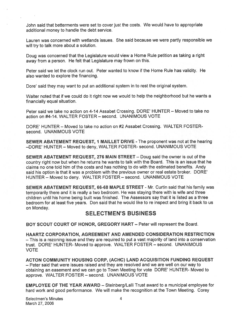John said that betterments were set to cover just the costs. We would have to appropriate additional money to handle the debt service.

Lauren was concerned with wetlands issues. She said because we were partly responsible we will try to talk more about a solution.

Doug was concerned that the Legislature would view <sup>a</sup> Home Rule petition as taking <sup>a</sup> tight away from <sup>a</sup> person. He felt that Legislature may frown on this.

Peter said we let the clock run out. Peter wanted to know if the Home Rule has validity. He also wanted to explore the financing.

Dore' said they may want to pu<sup>t</sup> an additional system in to rest the original system.

Walter noted that if we could do it right now we would to help the neighborhood but he wants <sup>a</sup> financially equal situation.

Peter said we take no action on 4-14 Assabet Crossing. DORE' HUNTER — Moved to take no action on #4-14. WALTER FOSTER — second. UNANIMOUS VOTE

DORE' HUNTER — Moved to take no action on #2 Assabet Crossing. WALTER FOSTERsecond. UNANIMOUS VOTE

SEWER ABATEMENT REQUEST, I MAILLET DRIVE - The proponen<sup>t</sup> was not at the hearing —DORE' HUNTER — Moved to deny, WALTER FOSTER- second. UNANIMOUS VOTE

SEWER ABATEMENT REQUEST, 276 MAIN STREET — Doug said the owner is out of the country right now but when he returns he wants to talk with the Board. This is an issue that he claims no one told him of the costs and has nothing to do with the estimated benefits. Andy said his option is that it was <sup>a</sup> problem with the previous owner or teal estate broker. DORE' HUNTER — Moved to deny. WALTER FOSTER — second. UNANIMOUS VOTE

SEWER ABATEMENT REQUEST, 66-68 MAPLE STREET - Mr. Curtin said that his family was temporarily there and it is really <sup>a</sup> two bedroom. He was staying there with is wife and three children until his home being built was finished. The Assessors say that it is listed as <sup>a</sup> three bedroom for at least five years. Don said that he would like to re inspect and bring it back to us on Monday.

### SELECTMEN'S BUSINESS

BOY SCOUT COURT OF HONOR, GREGORY HART — Peter will represen<sup>t</sup> the Board.

HAARTZ CORPORATION, AGREEMENT AND AMENDED CONSIDERATION RESTRICTION — This is <sup>a</sup> rezoning issue and they are required to pu<sup>t</sup> <sup>a</sup> vast majority of land into <sup>a</sup> conservation trust. DORE HUNTER- Moved to approve. WALTER FOSTER — second. UNANIMOUS VOTE

ACTON COMMUNITY HOUSING CORP, (ACHC) LAND ACQUISITION FUNDING REQUEST — Peter said that were issues raised and they are resolved and we are well on our way to obtaining an easement and we can go to Town Meeting for vote DORE' HUNTER- Moved to approve. WALTER FOSTER — second. UNANIMOUS VOTE

EMPLOYEE OF THE YEAR AWARD — Steinberg/Lalli Trust award to <sup>a</sup> municipal employee for hard work and good performance. We will make the recognition at the Town Meeting. Corey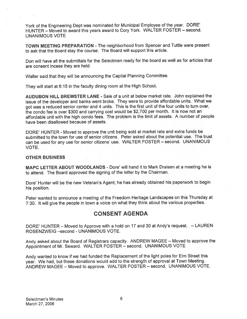York of the Engineering Dept was nominated for Municipal Employee of the year. DORE' HUNTER — Moved to award this years award to Cory York. WALTER FOSTER — second. UNANIMOUS VOTE

TOWN MEETING PREPARATION - The neighborhood from Spencer and Tuttle were presen<sup>t</sup> to ask that the Board stay the course. The Board will suppor<sup>t</sup> this article.

Don will have all the submittals for the Selectmen ready for the board as well as for articles that are consent incase they are held.

Walter said that they will be announcing the Capital Planning Committee.

They will start at 6:15 in the faculty dining room at the High School.

AUDUBON HILL BREWSTER LANE - Sale of <sup>a</sup> unit at below market rate. John explained the issue of the developer and banks went broke. They were to provide affordable units. What we go<sup>t</sup> was <sup>a</sup> reduced senior center and <sup>4</sup> units. This is the first unit of the four units to turn over, the condo fee is over \$300 and carrying cost would be \$2,700 per month. It is now not an affordable unit with the high condo fees. The problem is the limit of assets. <sup>A</sup> number of people have been disallowed because of assets.

DORE' HUNTER - Moved to approve the unit being sold at market rate and extra funds be submitted to the town for use of senior citizens. Peter asked about the potential use. The trust can be used for any use for senior citizens' use. WALTER FOSTER — second. UNANIMOUS VOTE.

#### OTHER BUSINESS

MAPC LETTER ABOUT WOODLANDS - Dore' will hand it to Mark Draisen at <sup>a</sup> meeting he is to attend. The Board approved the signing of the letter by the Chairman.

Dore' Hunter will be the new Veteran's Agent; he has already obtained his paperwork to begin his position.

Peter wanted to announce <sup>a</sup> meeting of the Freedom Heritage Landscapes on this Thursday at 7:30. It will <sup>g</sup>ive the people in town <sup>a</sup> voice on what they think about the various properties.

### CONSENT AGENDA

DORE' HUNTER — Moved to Approve with <sup>a</sup> hold on <sup>17</sup> and <sup>30</sup> at Andy's request. — LAUREN ROSENZWEIG —second - UNANIMOUS VOTE.

Andy asked about the Board of Registrars capacity. ANDREW MAGEE — Moved to approve the Appointment of Mr. Seward. WALTER FOSTER — second. UNANIMOUS VOTE

Andy wanted to know if we had funded the Replacement of the light poles for Elm Street this year. We had, but these donations would add to the strength of approva<sup>l</sup> at Town Meeting. ANDREW MAGEE — Moved to approve. WALTER FOSTER — second. UNANIMOUS VOTE.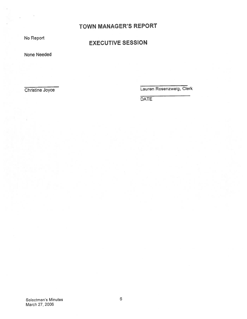# TOWN MANAGER'S REPORT

No Report

# EXECUTIVE SESSION

None Needed

Christine Joyce Lauren Rosenzweig, Clerk

**DATE**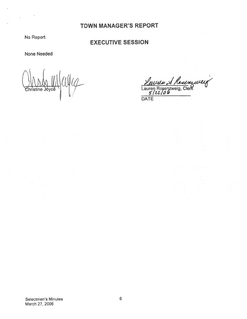# TOWN MANAGER'S REPORT

No Report

# EXECUTIVE SESSION

None Needed

eiya mittava Christine 'cé /

<u>Leuven & Rousseug</u><br>Lauren Rosenzweig, Clerk<br>5/22/06

**DATE**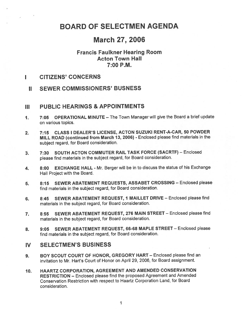# BOARD OF SELECTMEN AGENDA

# March 27, 2006

## Francis Faulkner Hearing Room Acton Town Hall 7:00 P.M.

### I CITIZENS' CONCERNS

II SEWER COMMISSIONERS' BUSNESS

### ill PUBLIC HEARINGS & APPOINTMENTS

- 1. 7:05 OPERATIONAL MINUTE The Town Manager will give the Board <sup>a</sup> brief update on various topics.
- 2. 7:15 CLASS I DEALER'S LICENSE, ACTON SUZUKI RENT-A-CAR, 50 POWDER MILL ROAD (continued from March 13, 2006) - Enclosed <sup>p</sup>lease find materials in the subject regard, for Board consideration.
- 3. 7:30 SOUTH ACTON COMMUTER RAIL TASK FORCE (SACRTF) Enclosed <sup>p</sup>lease find materials in the subject regard, for Board consideration.
- 4. 8:00 EXCHANGE HALL Mr. Berger will be in to discuss the status of his Exchange Hall Project with the Board.
- 5. 8:15 SEWER ABATEMENT REQUESTS, ASSABET CROSSING Enclosed <sup>p</sup>lease find materials in the subject regard, for Board consideration.
- 6. 8:45 SEWER ABATEMENT REQUEST, <sup>I</sup> MAILLET DRIVE Enclosed <sup>p</sup>lease find materials in the subject regard, for Board consideration.
- 7. 8:55 SEWER ABATEMENT REQUEST, 276 MAIN STREET Enclosed <sup>p</sup>lease find materials in the subject regard, for Board consideration.
- 8. 9:05 SEWER ABATEMENT REQUEST, 66-68 MAPLE STREET Enclosed please find materials in the subject regard, for Board consideration.

### IV SELECTMEN'S BUSINESS

- 9. BOY SCOUT COURT OF HONOR, GREGORY HART Enclosed please find an invitation to Mr. Hart's Court of Honor on April 29, 2006, for Board assignment.
- 10. HAARTZ CORPORATION, AGREEMENT AND AMENDED CONSERVATION RESTRICTION — Enclosed <sup>p</sup>lease find the propose<sup>d</sup> Agreement and Amended Conservation Restriction with respec<sup>t</sup> to Haartz Corporation Land, for Board consideration.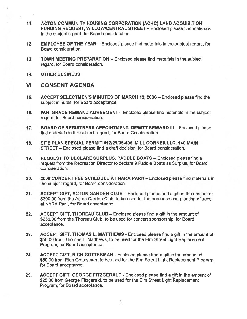- 11. ACTON COMMUNITY HOUSING CORPORATION (ACHC) LAND ACQUISITION FUNDING REQUEST, WILLOWICENTRAL STREET — Enclosed please find materials in the subject regard, for Board consideration.
- 12. EMPLOYEE OF THE YEAR Enclosed please find materials in the subject regard, for Board consideration.
- 13. TOWN MEETING PREPARATION Enclosed please find materials in the subject regard, for Board consideration.
- 14. OTHER BUSINESS

## VI CONSENT AGENDA

- 15. ACCEPT SELECTMEN'S MINUTES OF MARCH 13, 2006 Enclosed please find the subject minutes, for Board acceptance.
- 16. W.R. GRACE REMAND AGREEMENT Enclosed please find materials in the subject regard, for Board consideration.
- 17. BOARD OF REGISTRARS APPOINTMENT, DEWITT SEWARD III Enclosed please find materials in the subject regard, for Board Consideration.
- 18. SITE PLAN SPECIAL PERMIT #12129105-406, MILL CORNER LLC. 140 MAIN STREET — Enclosed please find <sup>a</sup> draft decision, for Board consideration.
- 19. REQUEST TO DECLARE SURPLUS, PADDLE BOATS Enclosed please find <sup>a</sup> reques<sup>t</sup> from the Recreation Director to declare 9 Paddle Boats as Surplus, for Board consideration.
- 20. 2006 CONCERT FEE SCHEDULE AT NARA PARK Enclosed please find materials in the subject regard, for Board consideration.
- 21. ACCEPT GIFT, ACTON GARDEN CLUB Enclosed please find <sup>a</sup> gift in the amount of \$300.00 from the Acton Garden Club, to be used for the purchase and planting of trees at NARA Park, for Board acceptance.
- 22. ACCEPT GIFT, THOREAU CLUB Enclosed please find <sup>a</sup> gift in the amount of \$250.00 from the Thoreau Club, to be used for concert sponsorship, for Board acceptance.
- 23. ACCEPT GIFT, THOMAS L. MATTHEWS Enclosed please find a gift in the amount of \$50.00 from Thomas L. Matthews, to be used for the Elm Street Light Replacement Program, for Board acceptance.
- 24. ACCEPT GIFT, RICH GOTTESMAN Enclosed please find <sup>a</sup> gift in the amount of \$50.00 from Rich Gottesman, to be used for the Elm Street Light Replacement Program, for Board acceptance.
- 25. ACCEPT GIFT, GEORGE FITZGERALD Enclosed please find <sup>a</sup> gift in the amount of \$25.00 from George Fitzgerald, to be used for the Elm Street Light Replacement Program, for Board acceptance.